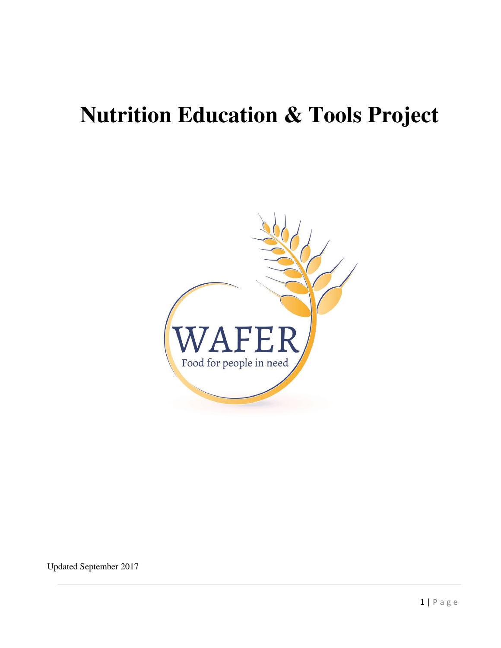# **Nutrition Education & Tools Project**



Updated September 2017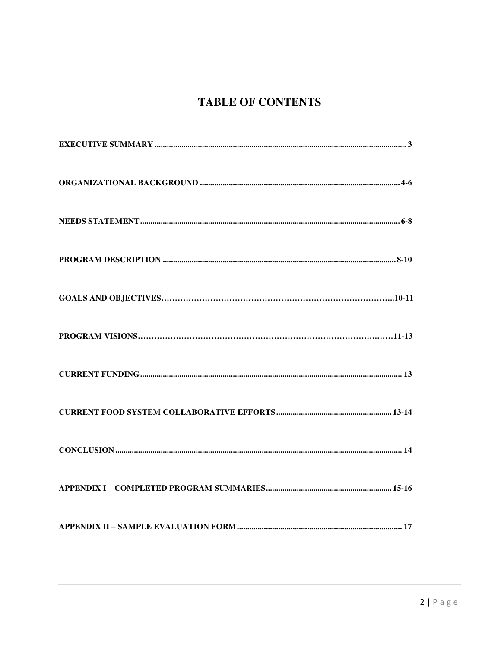## **TABLE OF CONTENTS**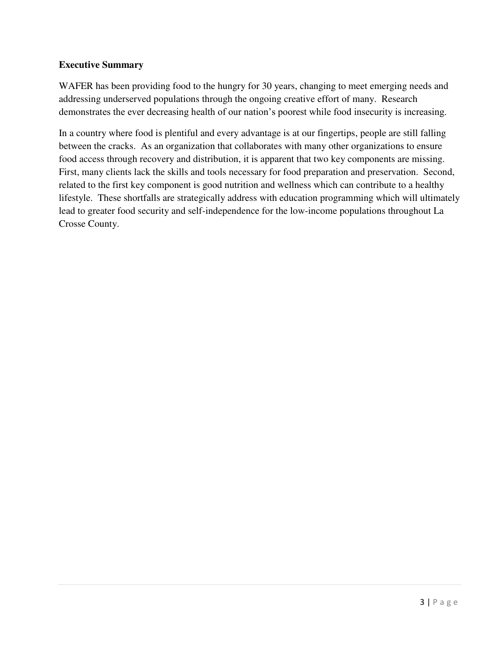#### **Executive Summary**

WAFER has been providing food to the hungry for 30 years, changing to meet emerging needs and addressing underserved populations through the ongoing creative effort of many. Research demonstrates the ever decreasing health of our nation's poorest while food insecurity is increasing.

In a country where food is plentiful and every advantage is at our fingertips, people are still falling between the cracks. As an organization that collaborates with many other organizations to ensure food access through recovery and distribution, it is apparent that two key components are missing. First, many clients lack the skills and tools necessary for food preparation and preservation. Second, related to the first key component is good nutrition and wellness which can contribute to a healthy lifestyle. These shortfalls are strategically address with education programming which will ultimately lead to greater food security and self-independence for the low-income populations throughout La Crosse County.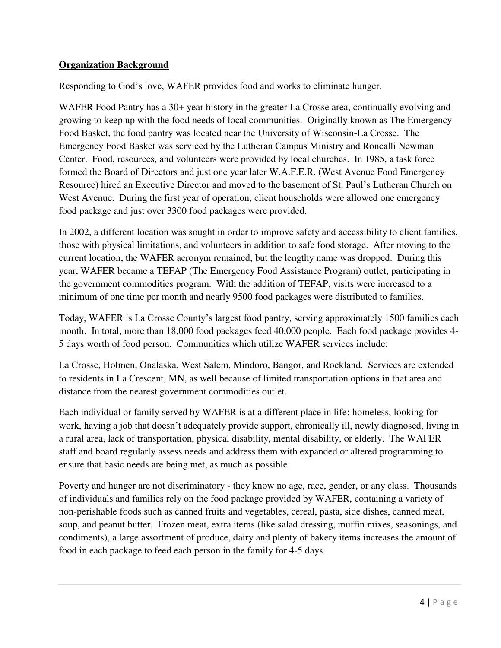#### **Organization Background**

Responding to God's love, WAFER provides food and works to eliminate hunger.

WAFER Food Pantry has a 30+ year history in the greater La Crosse area, continually evolving and growing to keep up with the food needs of local communities. Originally known as The Emergency Food Basket, the food pantry was located near the University of Wisconsin-La Crosse. The Emergency Food Basket was serviced by the Lutheran Campus Ministry and Roncalli Newman Center. Food, resources, and volunteers were provided by local churches. In 1985, a task force formed the Board of Directors and just one year later W.A.F.E.R. (West Avenue Food Emergency Resource) hired an Executive Director and moved to the basement of St. Paul's Lutheran Church on West Avenue. During the first year of operation, client households were allowed one emergency food package and just over 3300 food packages were provided.

In 2002, a different location was sought in order to improve safety and accessibility to client families, those with physical limitations, and volunteers in addition to safe food storage. After moving to the current location, the WAFER acronym remained, but the lengthy name was dropped. During this year, WAFER became a TEFAP (The Emergency Food Assistance Program) outlet, participating in the government commodities program. With the addition of TEFAP, visits were increased to a minimum of one time per month and nearly 9500 food packages were distributed to families.

Today, WAFER is La Crosse County's largest food pantry, serving approximately 1500 families each month. In total, more than 18,000 food packages feed 40,000 people. Each food package provides 4- 5 days worth of food person. Communities which utilize WAFER services include:

La Crosse, Holmen, Onalaska, West Salem, Mindoro, Bangor, and Rockland. Services are extended to residents in La Crescent, MN, as well because of limited transportation options in that area and distance from the nearest government commodities outlet.

Each individual or family served by WAFER is at a different place in life: homeless, looking for work, having a job that doesn't adequately provide support, chronically ill, newly diagnosed, living in a rural area, lack of transportation, physical disability, mental disability, or elderly. The WAFER staff and board regularly assess needs and address them with expanded or altered programming to ensure that basic needs are being met, as much as possible.

Poverty and hunger are not discriminatory - they know no age, race, gender, or any class. Thousands of individuals and families rely on the food package provided by WAFER, containing a variety of non-perishable foods such as canned fruits and vegetables, cereal, pasta, side dishes, canned meat, soup, and peanut butter. Frozen meat, extra items (like salad dressing, muffin mixes, seasonings, and condiments), a large assortment of produce, dairy and plenty of bakery items increases the amount of food in each package to feed each person in the family for 4-5 days.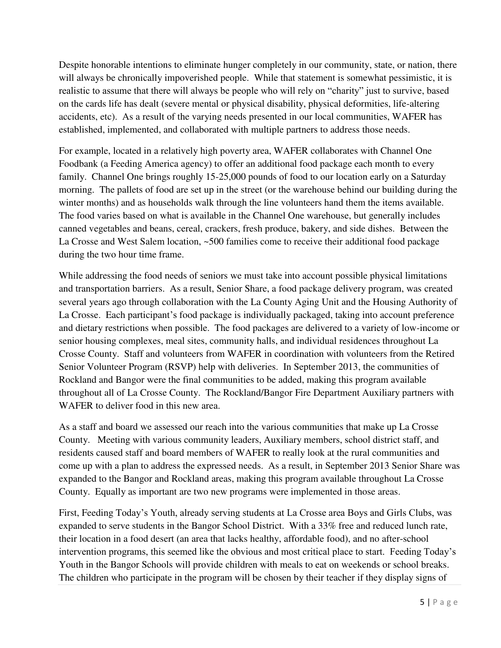Despite honorable intentions to eliminate hunger completely in our community, state, or nation, there will always be chronically impoverished people. While that statement is somewhat pessimistic, it is realistic to assume that there will always be people who will rely on "charity" just to survive, based on the cards life has dealt (severe mental or physical disability, physical deformities, life-altering accidents, etc). As a result of the varying needs presented in our local communities, WAFER has established, implemented, and collaborated with multiple partners to address those needs.

For example, located in a relatively high poverty area, WAFER collaborates with Channel One Foodbank (a Feeding America agency) to offer an additional food package each month to every family. Channel One brings roughly 15-25,000 pounds of food to our location early on a Saturday morning. The pallets of food are set up in the street (or the warehouse behind our building during the winter months) and as households walk through the line volunteers hand them the items available. The food varies based on what is available in the Channel One warehouse, but generally includes canned vegetables and beans, cereal, crackers, fresh produce, bakery, and side dishes. Between the La Crosse and West Salem location, ~500 families come to receive their additional food package during the two hour time frame.

While addressing the food needs of seniors we must take into account possible physical limitations and transportation barriers. As a result, Senior Share, a food package delivery program, was created several years ago through collaboration with the La County Aging Unit and the Housing Authority of La Crosse. Each participant's food package is individually packaged, taking into account preference and dietary restrictions when possible. The food packages are delivered to a variety of low-income or senior housing complexes, meal sites, community halls, and individual residences throughout La Crosse County. Staff and volunteers from WAFER in coordination with volunteers from the Retired Senior Volunteer Program (RSVP) help with deliveries. In September 2013, the communities of Rockland and Bangor were the final communities to be added, making this program available throughout all of La Crosse County. The Rockland/Bangor Fire Department Auxiliary partners with WAFER to deliver food in this new area.

As a staff and board we assessed our reach into the various communities that make up La Crosse County. Meeting with various community leaders, Auxiliary members, school district staff, and residents caused staff and board members of WAFER to really look at the rural communities and come up with a plan to address the expressed needs. As a result, in September 2013 Senior Share was expanded to the Bangor and Rockland areas, making this program available throughout La Crosse County. Equally as important are two new programs were implemented in those areas.

First, Feeding Today's Youth, already serving students at La Crosse area Boys and Girls Clubs, was expanded to serve students in the Bangor School District. With a 33% free and reduced lunch rate, their location in a food desert (an area that lacks healthy, affordable food), and no after-school intervention programs, this seemed like the obvious and most critical place to start. Feeding Today's Youth in the Bangor Schools will provide children with meals to eat on weekends or school breaks. The children who participate in the program will be chosen by their teacher if they display signs of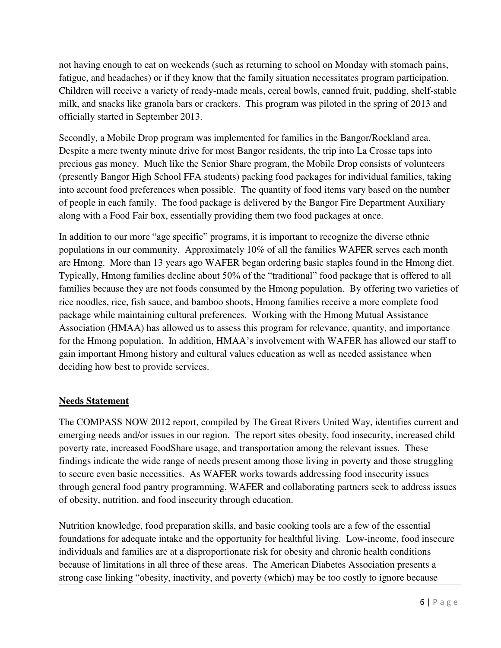not having enough to eat on weekends (such as returning to school on Monday with stomach pains, fatigue, and headaches) or if they know that the family situation necessitates program participation. Children will receive a variety of ready-made meals, cereal bowls, canned fruit, pudding, shelf-stable milk, and snacks like granola bars or crackers. This program was piloted in the spring of 2013 and officially started in September 2013.

Secondly, a Mobile Drop program was implemented for families in the Bangor/Rockland area. Despite a mere twenty minute drive for most Bangor residents, the trip into La Crosse taps into precious gas money. Much like the Senior Share program, the Mobile Drop consists of volunteers (presently Bangor High School FFA students) packing food packages for individual families, taking into account food preferences when possible. The quantity of food items vary based on the number of people in each family. The food package is delivered by the Bangor Fire Department Auxiliary along with a Food Fair box, essentially providing them two food packages at once.

In addition to our more "age specific" programs, it is important to recognize the diverse ethnic populations in our community. Approximately 10% of all the families WAFER serves each month are Hmong. More than 13 years ago WAFER began ordering basic staples found in the Hmong diet. Typically, Hmong families decline about 50% of the "traditional" food package that is offered to all families because they are not foods consumed by the Hmong population. By offering two varieties of rice noodles, rice, fish sauce, and bamboo shoots, Hmong families receive a more complete food package while maintaining cultural preferences. Working with the Hmong Mutual Assistance Association (HMAA) has allowed us to assess this program for relevance, quantity, and importance for the Hmong population. In addition, HMAA's involvement with WAFER has allowed our staff to gain important Hmong history and cultural values education as well as needed assistance when deciding how best to provide services.

#### **Needs Statement**

The COMPASS NOW 2012 report, compiled by The Great Rivers United Way, identifies current and emerging needs and/or issues in our region. The report sites obesity, food insecurity, increased child poverty rate, increased FoodShare usage, and transportation among the relevant issues. These findings indicate the wide range of needs present among those living in poverty and those struggling to secure even basic necessities. As WAFER works towards addressing food insecurity issues through general food pantry programming, WAFER and collaborating partners seek to address issues of obesity, nutrition, and food insecurity through education.

Nutrition knowledge, food preparation skills, and basic cooking tools are a few of the essential foundations for adequate intake and the opportunity for healthful living. Low-income, food insecure individuals and families are at a disproportionate risk for obesity and chronic health conditions because of limitations in all three of these areas. The American Diabetes Association presents a strong case linking "obesity, inactivity, and poverty (which) may be too costly to ignore because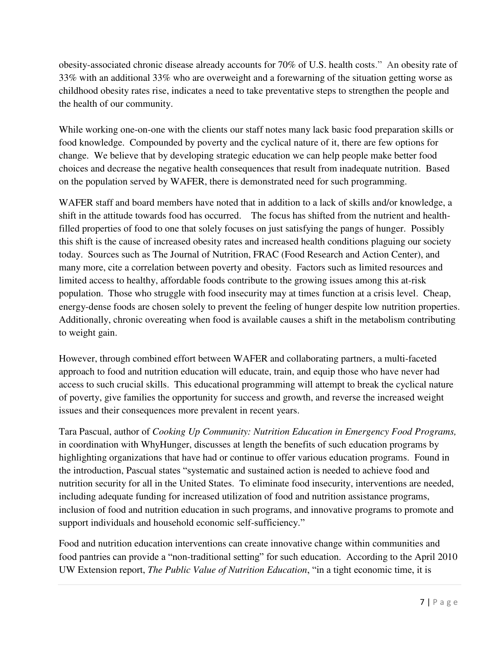obesity-associated chronic disease already accounts for 70% of U.S. health costs." An obesity rate of 33% with an additional 33% who are overweight and a forewarning of the situation getting worse as childhood obesity rates rise, indicates a need to take preventative steps to strengthen the people and the health of our community.

While working one-on-one with the clients our staff notes many lack basic food preparation skills or food knowledge. Compounded by poverty and the cyclical nature of it, there are few options for change. We believe that by developing strategic education we can help people make better food choices and decrease the negative health consequences that result from inadequate nutrition. Based on the population served by WAFER, there is demonstrated need for such programming.

WAFER staff and board members have noted that in addition to a lack of skills and/or knowledge, a shift in the attitude towards food has occurred. The focus has shifted from the nutrient and healthfilled properties of food to one that solely focuses on just satisfying the pangs of hunger. Possibly this shift is the cause of increased obesity rates and increased health conditions plaguing our society today. Sources such as The Journal of Nutrition, FRAC (Food Research and Action Center), and many more, cite a correlation between poverty and obesity. Factors such as limited resources and limited access to healthy, affordable foods contribute to the growing issues among this at-risk population. Those who struggle with food insecurity may at times function at a crisis level. Cheap, energy-dense foods are chosen solely to prevent the feeling of hunger despite low nutrition properties. Additionally, chronic overeating when food is available causes a shift in the metabolism contributing to weight gain.

However, through combined effort between WAFER and collaborating partners, a multi-faceted approach to food and nutrition education will educate, train, and equip those who have never had access to such crucial skills. This educational programming will attempt to break the cyclical nature of poverty, give families the opportunity for success and growth, and reverse the increased weight issues and their consequences more prevalent in recent years.

Tara Pascual, author of *Cooking Up Community: Nutrition Education in Emergency Food Programs,* in coordination with WhyHunger, discusses at length the benefits of such education programs by highlighting organizations that have had or continue to offer various education programs. Found in the introduction, Pascual states "systematic and sustained action is needed to achieve food and nutrition security for all in the United States. To eliminate food insecurity, interventions are needed, including adequate funding for increased utilization of food and nutrition assistance programs, inclusion of food and nutrition education in such programs, and innovative programs to promote and support individuals and household economic self-sufficiency."

Food and nutrition education interventions can create innovative change within communities and food pantries can provide a "non-traditional setting" for such education. According to the April 2010 UW Extension report, *The Public Value of Nutrition Education*, "in a tight economic time, it is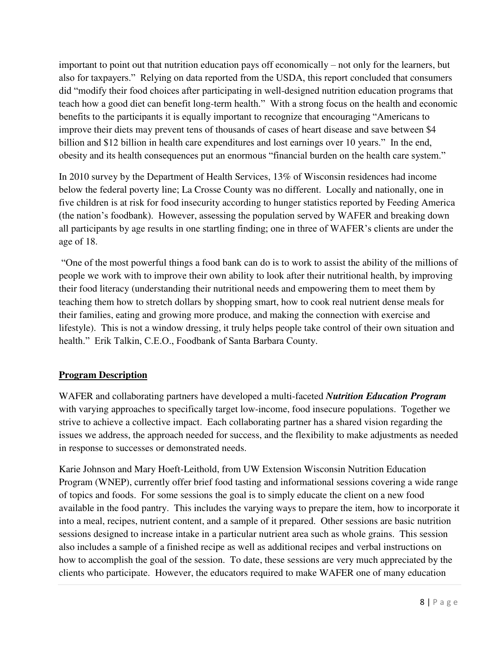important to point out that nutrition education pays off economically – not only for the learners, but also for taxpayers." Relying on data reported from the USDA, this report concluded that consumers did "modify their food choices after participating in well-designed nutrition education programs that teach how a good diet can benefit long-term health." With a strong focus on the health and economic benefits to the participants it is equally important to recognize that encouraging "Americans to improve their diets may prevent tens of thousands of cases of heart disease and save between \$4 billion and \$12 billion in health care expenditures and lost earnings over 10 years." In the end, obesity and its health consequences put an enormous "financial burden on the health care system."

In 2010 survey by the Department of Health Services, 13% of Wisconsin residences had income below the federal poverty line; La Crosse County was no different. Locally and nationally, one in five children is at risk for food insecurity according to hunger statistics reported by Feeding America (the nation's foodbank). However, assessing the population served by WAFER and breaking down all participants by age results in one startling finding; one in three of WAFER's clients are under the age of 18.

"One of the most powerful things a food bank can do is to work to assist the ability of the millions of people we work with to improve their own ability to look after their nutritional health, by improving their food literacy (understanding their nutritional needs and empowering them to meet them by teaching them how to stretch dollars by shopping smart, how to cook real nutrient dense meals for their families, eating and growing more produce, and making the connection with exercise and lifestyle). This is not a window dressing, it truly helps people take control of their own situation and health." Erik Talkin, C.E.O., Foodbank of Santa Barbara County.

### **Program Description**

WAFER and collaborating partners have developed a multi-faceted *Nutrition Education Program* with varying approaches to specifically target low-income, food insecure populations. Together we strive to achieve a collective impact. Each collaborating partner has a shared vision regarding the issues we address, the approach needed for success, and the flexibility to make adjustments as needed in response to successes or demonstrated needs.

Karie Johnson and Mary Hoeft-Leithold, from UW Extension Wisconsin Nutrition Education Program (WNEP), currently offer brief food tasting and informational sessions covering a wide range of topics and foods. For some sessions the goal is to simply educate the client on a new food available in the food pantry. This includes the varying ways to prepare the item, how to incorporate it into a meal, recipes, nutrient content, and a sample of it prepared. Other sessions are basic nutrition sessions designed to increase intake in a particular nutrient area such as whole grains. This session also includes a sample of a finished recipe as well as additional recipes and verbal instructions on how to accomplish the goal of the session. To date, these sessions are very much appreciated by the clients who participate. However, the educators required to make WAFER one of many education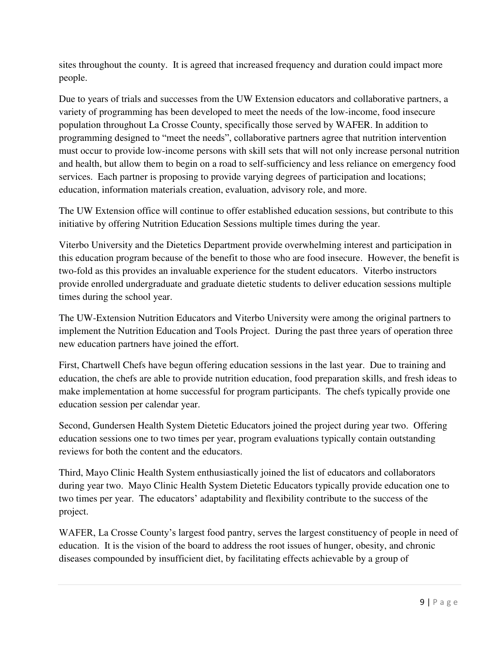sites throughout the county. It is agreed that increased frequency and duration could impact more people.

Due to years of trials and successes from the UW Extension educators and collaborative partners, a variety of programming has been developed to meet the needs of the low-income, food insecure population throughout La Crosse County, specifically those served by WAFER. In addition to programming designed to "meet the needs", collaborative partners agree that nutrition intervention must occur to provide low-income persons with skill sets that will not only increase personal nutrition and health, but allow them to begin on a road to self-sufficiency and less reliance on emergency food services. Each partner is proposing to provide varying degrees of participation and locations; education, information materials creation, evaluation, advisory role, and more.

The UW Extension office will continue to offer established education sessions, but contribute to this initiative by offering Nutrition Education Sessions multiple times during the year.

Viterbo University and the Dietetics Department provide overwhelming interest and participation in this education program because of the benefit to those who are food insecure. However, the benefit is two-fold as this provides an invaluable experience for the student educators. Viterbo instructors provide enrolled undergraduate and graduate dietetic students to deliver education sessions multiple times during the school year.

The UW-Extension Nutrition Educators and Viterbo University were among the original partners to implement the Nutrition Education and Tools Project. During the past three years of operation three new education partners have joined the effort.

First, Chartwell Chefs have begun offering education sessions in the last year. Due to training and education, the chefs are able to provide nutrition education, food preparation skills, and fresh ideas to make implementation at home successful for program participants. The chefs typically provide one education session per calendar year.

Second, Gundersen Health System Dietetic Educators joined the project during year two. Offering education sessions one to two times per year, program evaluations typically contain outstanding reviews for both the content and the educators.

Third, Mayo Clinic Health System enthusiastically joined the list of educators and collaborators during year two. Mayo Clinic Health System Dietetic Educators typically provide education one to two times per year. The educators' adaptability and flexibility contribute to the success of the project.

WAFER, La Crosse County's largest food pantry, serves the largest constituency of people in need of education. It is the vision of the board to address the root issues of hunger, obesity, and chronic diseases compounded by insufficient diet, by facilitating effects achievable by a group of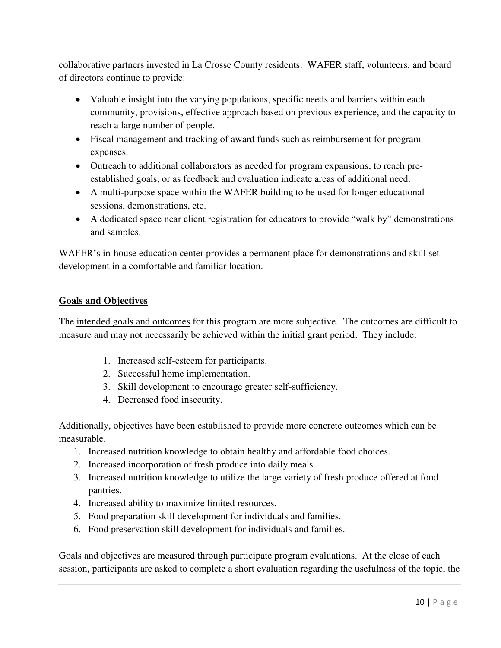collaborative partners invested in La Crosse County residents. WAFER staff, volunteers, and board of directors continue to provide:

- Valuable insight into the varying populations, specific needs and barriers within each community, provisions, effective approach based on previous experience, and the capacity to reach a large number of people.
- Fiscal management and tracking of award funds such as reimbursement for program expenses.
- Outreach to additional collaborators as needed for program expansions, to reach preestablished goals, or as feedback and evaluation indicate areas of additional need.
- A multi-purpose space within the WAFER building to be used for longer educational sessions, demonstrations, etc.
- A dedicated space near client registration for educators to provide "walk by" demonstrations and samples.

WAFER's in-house education center provides a permanent place for demonstrations and skill set development in a comfortable and familiar location.

#### **Goals and Objectives**

The intended goals and outcomes for this program are more subjective. The outcomes are difficult to measure and may not necessarily be achieved within the initial grant period. They include:

- 1. Increased self-esteem for participants.
- 2. Successful home implementation.
- 3. Skill development to encourage greater self-sufficiency.
- 4. Decreased food insecurity.

Additionally, objectives have been established to provide more concrete outcomes which can be measurable.

- 1. Increased nutrition knowledge to obtain healthy and affordable food choices.
- 2. Increased incorporation of fresh produce into daily meals.
- 3. Increased nutrition knowledge to utilize the large variety of fresh produce offered at food pantries.
- 4. Increased ability to maximize limited resources.
- 5. Food preparation skill development for individuals and families.
- 6. Food preservation skill development for individuals and families.

Goals and objectives are measured through participate program evaluations. At the close of each session, participants are asked to complete a short evaluation regarding the usefulness of the topic, the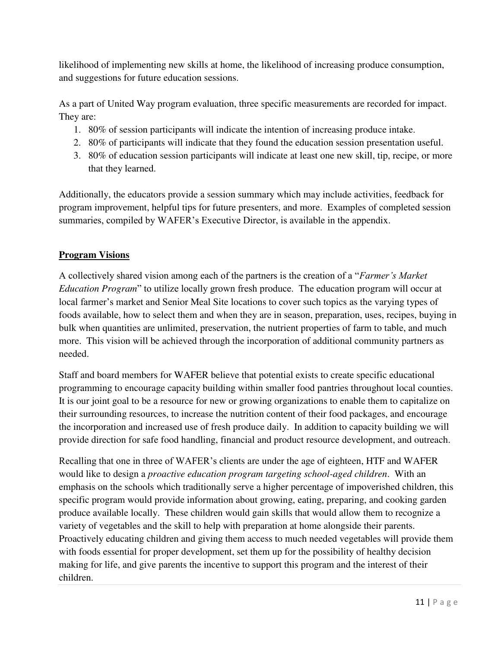likelihood of implementing new skills at home, the likelihood of increasing produce consumption, and suggestions for future education sessions.

As a part of United Way program evaluation, three specific measurements are recorded for impact. They are:

- 1. 80% of session participants will indicate the intention of increasing produce intake.
- 2. 80% of participants will indicate that they found the education session presentation useful.
- 3. 80% of education session participants will indicate at least one new skill, tip, recipe, or more that they learned.

Additionally, the educators provide a session summary which may include activities, feedback for program improvement, helpful tips for future presenters, and more. Examples of completed session summaries, compiled by WAFER's Executive Director, is available in the appendix.

#### **Program Visions**

A collectively shared vision among each of the partners is the creation of a "*Farmer's Market Education Program*" to utilize locally grown fresh produce. The education program will occur at local farmer's market and Senior Meal Site locations to cover such topics as the varying types of foods available, how to select them and when they are in season, preparation, uses, recipes, buying in bulk when quantities are unlimited, preservation, the nutrient properties of farm to table, and much more. This vision will be achieved through the incorporation of additional community partners as needed.

Staff and board members for WAFER believe that potential exists to create specific educational programming to encourage capacity building within smaller food pantries throughout local counties. It is our joint goal to be a resource for new or growing organizations to enable them to capitalize on their surrounding resources, to increase the nutrition content of their food packages, and encourage the incorporation and increased use of fresh produce daily. In addition to capacity building we will provide direction for safe food handling, financial and product resource development, and outreach.

Recalling that one in three of WAFER's clients are under the age of eighteen, HTF and WAFER would like to design a *proactive education program targeting school-aged children*. With an emphasis on the schools which traditionally serve a higher percentage of impoverished children, this specific program would provide information about growing, eating, preparing, and cooking garden produce available locally. These children would gain skills that would allow them to recognize a variety of vegetables and the skill to help with preparation at home alongside their parents. Proactively educating children and giving them access to much needed vegetables will provide them with foods essential for proper development, set them up for the possibility of healthy decision making for life, and give parents the incentive to support this program and the interest of their children.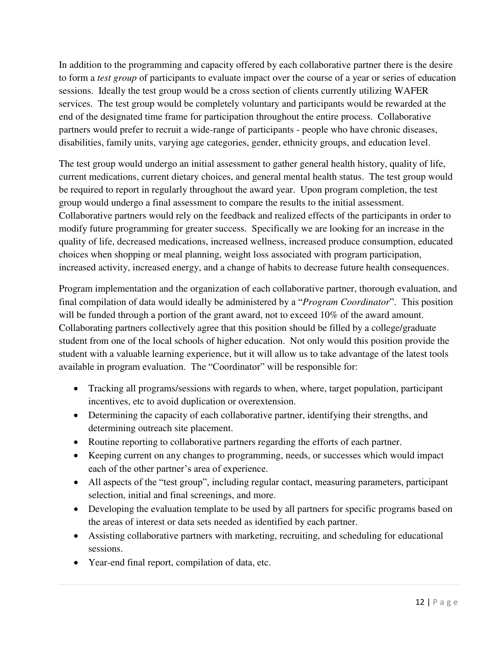In addition to the programming and capacity offered by each collaborative partner there is the desire to form a *test group* of participants to evaluate impact over the course of a year or series of education sessions. Ideally the test group would be a cross section of clients currently utilizing WAFER services. The test group would be completely voluntary and participants would be rewarded at the end of the designated time frame for participation throughout the entire process. Collaborative partners would prefer to recruit a wide-range of participants - people who have chronic diseases, disabilities, family units, varying age categories, gender, ethnicity groups, and education level.

The test group would undergo an initial assessment to gather general health history, quality of life, current medications, current dietary choices, and general mental health status. The test group would be required to report in regularly throughout the award year. Upon program completion, the test group would undergo a final assessment to compare the results to the initial assessment. Collaborative partners would rely on the feedback and realized effects of the participants in order to modify future programming for greater success. Specifically we are looking for an increase in the quality of life, decreased medications, increased wellness, increased produce consumption, educated choices when shopping or meal planning, weight loss associated with program participation, increased activity, increased energy, and a change of habits to decrease future health consequences.

Program implementation and the organization of each collaborative partner, thorough evaluation, and final compilation of data would ideally be administered by a "*Program Coordinator*". This position will be funded through a portion of the grant award, not to exceed 10% of the award amount. Collaborating partners collectively agree that this position should be filled by a college/graduate student from one of the local schools of higher education. Not only would this position provide the student with a valuable learning experience, but it will allow us to take advantage of the latest tools available in program evaluation. The "Coordinator" will be responsible for:

- Tracking all programs/sessions with regards to when, where, target population, participant incentives, etc to avoid duplication or overextension.
- Determining the capacity of each collaborative partner, identifying their strengths, and determining outreach site placement.
- Routine reporting to collaborative partners regarding the efforts of each partner.
- Keeping current on any changes to programming, needs, or successes which would impact each of the other partner's area of experience.
- All aspects of the "test group", including regular contact, measuring parameters, participant selection, initial and final screenings, and more.
- Developing the evaluation template to be used by all partners for specific programs based on the areas of interest or data sets needed as identified by each partner.
- Assisting collaborative partners with marketing, recruiting, and scheduling for educational sessions.
- Year-end final report, compilation of data, etc.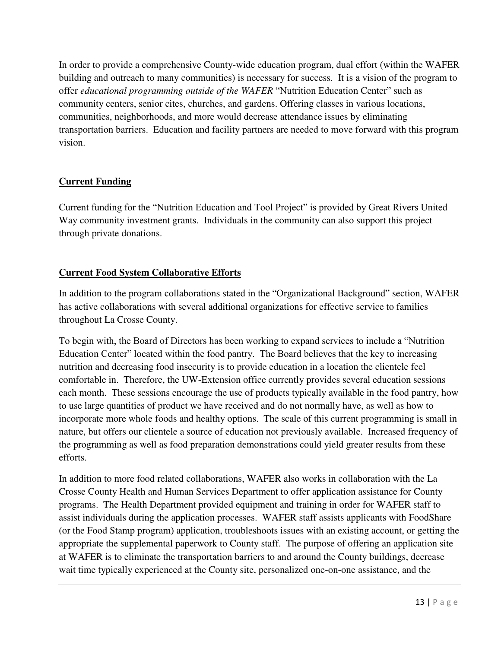In order to provide a comprehensive County-wide education program, dual effort (within the WAFER building and outreach to many communities) is necessary for success. It is a vision of the program to offer *educational programming outside of the WAFER* "Nutrition Education Center" such as community centers, senior cites, churches, and gardens. Offering classes in various locations, communities, neighborhoods, and more would decrease attendance issues by eliminating transportation barriers. Education and facility partners are needed to move forward with this program vision.

#### **Current Funding**

Current funding for the "Nutrition Education and Tool Project" is provided by Great Rivers United Way community investment grants. Individuals in the community can also support this project through private donations.

#### **Current Food System Collaborative Efforts**

In addition to the program collaborations stated in the "Organizational Background" section, WAFER has active collaborations with several additional organizations for effective service to families throughout La Crosse County.

To begin with, the Board of Directors has been working to expand services to include a "Nutrition Education Center" located within the food pantry. The Board believes that the key to increasing nutrition and decreasing food insecurity is to provide education in a location the clientele feel comfortable in. Therefore, the UW-Extension office currently provides several education sessions each month. These sessions encourage the use of products typically available in the food pantry, how to use large quantities of product we have received and do not normally have, as well as how to incorporate more whole foods and healthy options. The scale of this current programming is small in nature, but offers our clientele a source of education not previously available. Increased frequency of the programming as well as food preparation demonstrations could yield greater results from these efforts.

In addition to more food related collaborations, WAFER also works in collaboration with the La Crosse County Health and Human Services Department to offer application assistance for County programs. The Health Department provided equipment and training in order for WAFER staff to assist individuals during the application processes. WAFER staff assists applicants with FoodShare (or the Food Stamp program) application, troubleshoots issues with an existing account, or getting the appropriate the supplemental paperwork to County staff. The purpose of offering an application site at WAFER is to eliminate the transportation barriers to and around the County buildings, decrease wait time typically experienced at the County site, personalized one-on-one assistance, and the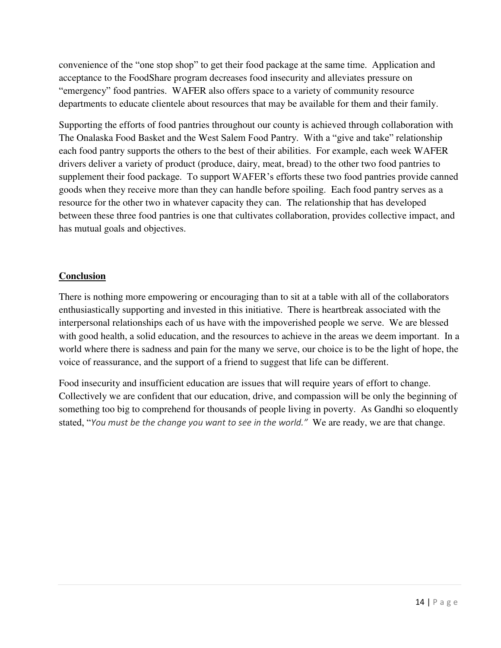convenience of the "one stop shop" to get their food package at the same time. Application and acceptance to the FoodShare program decreases food insecurity and alleviates pressure on "emergency" food pantries. WAFER also offers space to a variety of community resource departments to educate clientele about resources that may be available for them and their family.

Supporting the efforts of food pantries throughout our county is achieved through collaboration with The Onalaska Food Basket and the West Salem Food Pantry. With a "give and take" relationship each food pantry supports the others to the best of their abilities. For example, each week WAFER drivers deliver a variety of product (produce, dairy, meat, bread) to the other two food pantries to supplement their food package. To support WAFER's efforts these two food pantries provide canned goods when they receive more than they can handle before spoiling. Each food pantry serves as a resource for the other two in whatever capacity they can. The relationship that has developed between these three food pantries is one that cultivates collaboration, provides collective impact, and has mutual goals and objectives.

#### **Conclusion**

There is nothing more empowering or encouraging than to sit at a table with all of the collaborators enthusiastically supporting and invested in this initiative. There is heartbreak associated with the interpersonal relationships each of us have with the impoverished people we serve. We are blessed with good health, a solid education, and the resources to achieve in the areas we deem important. In a world where there is sadness and pain for the many we serve, our choice is to be the light of hope, the voice of reassurance, and the support of a friend to suggest that life can be different.

Food insecurity and insufficient education are issues that will require years of effort to change. Collectively we are confident that our education, drive, and compassion will be only the beginning of something too big to comprehend for thousands of people living in poverty. As Gandhi so eloquently stated, "*You must be the change you want to see in the world."* We are ready, we are that change.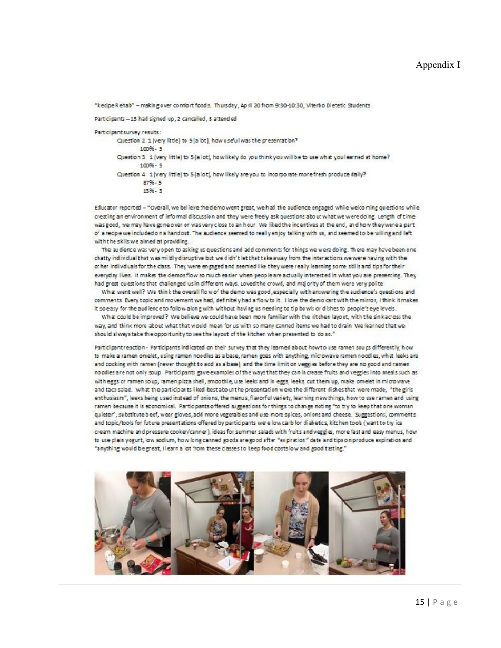"Recipe Rehalb" - making over comfort foods. Thursday, April 20 from 9:30-10:30, Viterbo Dietetic Students

#### Participants - 13 had signed up, 2 cancelled, 3 attended

Participant survey results:

Question 2 1 (very little) to 5 (a lot), how useful was the presentation?  $100% - 5$ Question 3 1 (very little) to 5 (a lot), how likely do you think you will be to use what you learned at home?  $100% - 5$ Question 4. 1 (very little) to 5 (a lot), how likely are you to incorporate more fresh produce daily?  $87% - 5$ 13.96 - 3

Educator reported - "Overall, we believe the demo went great, we had the audience engaged while welco ming questions while creating an environment of informal discussion and they were freely ask questions about what we were doing. Length of time was good, we may have gone over or was very close to an hour. We liked the incentives at the end, and how they were a part of a recipie we included on a handout. The audience seemed to really enjoy talking with us, and seemed to be willing and left with the skills we aimed at providing.

The audience was very open to asking us questions and add comments for things we were doing. There may have been one chatty individual that was mildly disruptive but we didn't let that take away from the interactions we were having with the other individuals for the class. They were engaged and seemed like they were really learning some skills and tips for their everyday lives. It makes the demosflow so much easier when people are actually interested in what you are presenting. They had great questions that challenged us in different ways. Loved the crowd, and majority of them were very polite

What went well? We thin t the overall flo w of the demo was good, especially with answering the audience's questions and comments. Every topic and movement we had, definitely had a flow to it. I love the demo cart with the mirror, I think it makes it so easy for the audience to follow along with without having us needing to tip bowls or dishes to people's eye levels.

What could be improved? We believe we could have been more familiar with the kitchen layout, with the sink across the way, and think more about what that would mean for us with so many canned items we had to drain. We learned that we should always take the opportunity to see the layout of the kitchen when presented to do so."

Participantreaction - Participants indicated on their survey that they learned about how to use ramen sou ps differently, how to make a ramen omelet, using ramen noodles as a base, ramen goes with anything, microwave ramen noodles, what leeks are and cocking with ramen (never thought to add as a base), and the time limit on veggies before they are no good and ramen no odles are not only soup. Participants gave examples of the ways that they can in crease fruits and veggies into meals such as with eggs or ramen soup, ramen pizza shell, smoothie, use leeks and in eggs, leeks cut them up, make omelet in micro wave and taco salad. What the participants liked ibestabout the presentation were the different dishes that were made, "the girls enthusiasm", leeks being used instead of onions, the menus, flavorful variety, learning new things, how to use ramen and using ramen because it is economical. Participants offered suggestions for things to change noting "to try to keep that one woman quieter', substitute beef, wear gloves, add more vegetables and use more spices, onions and cheese. Suggestions, comments and topic/tools for future presentations offered by participants were low carb for diabetics, kitchen tools (want to try ice cream machine and pressure cooker/canner), ideas for summer salads with 'ruits and veggies, more fast and easy menus, how to use plain yogurt, low sodium, how long canned goods are good after "expiration" date and tips on produce expiration and "anything would be great, I learn a lot from these classes to keep food costs low and good tasting."

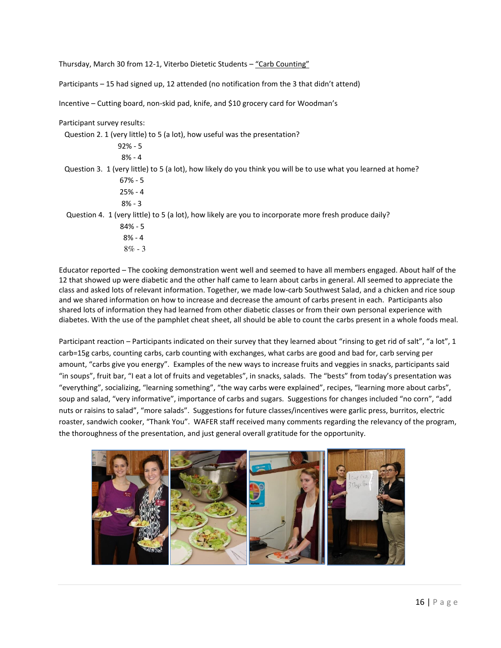Thursday, March 30 from 12-1, Viterbo Dietetic Students – "Carb Counting"

Participants – 15 had signed up, 12 attended (no notification from the 3 that didn't attend)

Incentive – Cutting board, non-skid pad, knife, and \$10 grocery card for Woodman's

Participant survey results:

Question 2. 1 (very little) to 5 (a lot), how useful was the presentation?

 92% - 5 8% - 4

Question 3. 1 (very little) to 5 (a lot), how likely do you think you will be to use what you learned at home?

 67% - 5 25% - 4

8% - 3

Question 4. 1 (very little) to 5 (a lot), how likely are you to incorporate more fresh produce daily?

- 84% 5
- 8% 4
- $8\% 3$

Educator reported – The cooking demonstration went well and seemed to have all members engaged. About half of the 12 that showed up were diabetic and the other half came to learn about carbs in general. All seemed to appreciate the class and asked lots of relevant information. Together, we made low-carb Southwest Salad, and a chicken and rice soup and we shared information on how to increase and decrease the amount of carbs present in each. Participants also shared lots of information they had learned from other diabetic classes or from their own personal experience with diabetes. With the use of the pamphlet cheat sheet, all should be able to count the carbs present in a whole foods meal.

Participant reaction – Participants indicated on their survey that they learned about "rinsing to get rid of salt", "a lot", 1 carb=15g carbs, counting carbs, carb counting with exchanges, what carbs are good and bad for, carb serving per amount, "carbs give you energy". Examples of the new ways to increase fruits and veggies in snacks, participants said "in soups", fruit bar, "I eat a lot of fruits and vegetables", in snacks, salads. The "bests" from today's presentation was "everything", socializing, "learning something", "the way carbs were explained", recipes, "learning more about carbs", soup and salad, "very informative", importance of carbs and sugars. Suggestions for changes included "no corn", "add nuts or raisins to salad", "more salads". Suggestions for future classes/incentives were garlic press, burritos, electric roaster, sandwich cooker, "Thank You". WAFER staff received many comments regarding the relevancy of the program, the thoroughness of the presentation, and just general overall gratitude for the opportunity.